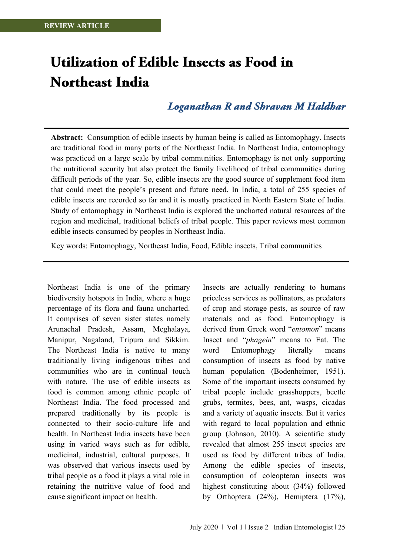# Utilization of Edible Insects as Food in **Northeast India**

# **Loganathan R and Shravan M Haldhar**

**Abstract:** Consumption of edible insects by human being is called as Entomophagy. Insects are traditional food in many parts of the Northeast India. In Northeast India, entomophagy was practiced on a large scale by tribal communities. Entomophagy is not only supporting the nutritional security but also protect the family livelihood of tribal communities during difficult periods of the year. So, edible insects are the good source of supplement food item that could meet the people's present and future need. In India, a total of 255 species of edible insects are recorded so far and it is mostly practiced in North Eastern State of India. Study of entomophagy in Northeast India is explored the uncharted natural resources of the region and medicinal, traditional beliefs of tribal people. This paper reviews most common edible insects consumed by peoples in Northeast India.

Key words: Entomophagy, Northeast India, Food, Edible insects, Tribal communities

Northeast India is one of the primary biodiversity hotspots in India, where a huge percentage of its flora and fauna uncharted. It comprises of seven sister states namely Arunachal Pradesh, Assam, Meghalaya, Manipur, Nagaland, Tripura and Sikkim. The Northeast India is native to many traditionally living indigenous tribes and communities who are in continual touch with nature. The use of edible insects as food is common among ethnic people of Northeast India. The food processed and prepared traditionally by its people is connected to their socio-culture life and health. In Northeast India insects have been using in varied ways such as for edible, medicinal, industrial, cultural purposes. It was observed that various insects used by tribal people as a food it plays a vital role in retaining the nutritive value of food and cause significant impact on health.

Insects are actually rendering to humans priceless services as pollinators, as predators of crop and storage pests, as source of raw materials and as food. Entomophagy is derived from Greek word "*entomon*" means Insect and "*phagein*" means to Eat. The word Entomophagy literally means consumption of insects as food by native human population (Bodenheimer, 1951). Some of the important insects consumed by tribal people include grasshoppers, beetle grubs, termites, bees, ant, wasps, cicadas and a variety of aquatic insects. But it varies with regard to local population and ethnic group (Johnson, 2010). A scientific study revealed that almost 255 insect species are used as food by different tribes of India. Among the edible species of insects, consumption of coleopteran insects was highest constituting about (34%) followed by Orthoptera (24%), Hemiptera (17%),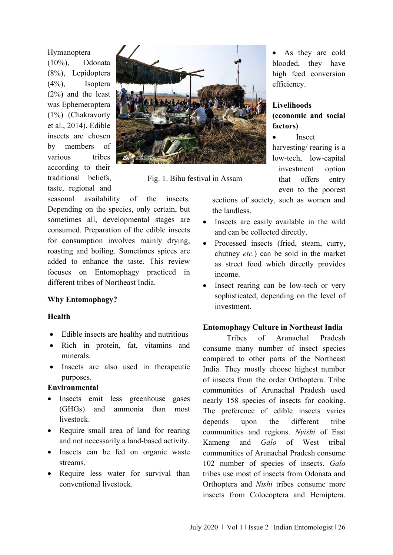#### Hymanoptera

(10%), Odonata (8%), Lepidoptera (4%), Isoptera (2%) and the least was Ephemeroptera (1%) (Chakravorty et al., 2014). Edible insects are chosen by members of various tribes according to their traditional beliefs, taste, regional and



Fig. 1. Bihu festival in Assam

seasonal availability of the insects. Depending on the species, only certain, but sometimes all, developmental stages are consumed. Preparation of the edible insects for consumption involves mainly drying, roasting and boiling. Sometimes spices are added to enhance the taste. This review focuses on Entomophagy practiced in different tribes of Northeast India.

## **Why Entomophagy?**

## **Health**

- Edible insects are healthy and nutritious
- Rich in protein, fat, vitamins and minerals.
- Insects are also used in therapeutic purposes.

## **Environmental**

- Insects emit less greenhouse gases (GHGs) and ammonia than most livestock.
- Require small area of land for rearing and not necessarily a land-based activity.
- Insects can be fed on organic waste streams.
- Require less water for survival than conventional livestock.

• As they are cold blooded, they have high feed conversion efficiency.

## **Livelihoods (economic and social factors)**

• Insect

harvesting/ rearing is a low-tech, low-capital investment option that offers entry even to the poorest

sections of society, such as women and the landless.

- Insects are easily available in the wild and can be collected directly.
- Processed insects (fried, steam, curry, chutney *etc.*) can be sold in the market as street food which directly provides income.
- Insect rearing can be low-tech or very sophisticated, depending on the level of investment.

## **Entomophagy Culture in Northeast India**

Tribes of Arunachal Pradesh consume many number of insect species compared to other parts of the Northeast India. They mostly choose highest number of insects from the order Orthoptera. Tribe communities of Arunachal Pradesh used nearly 158 species of insects for cooking. The preference of edible insects varies depends upon the different tribe communities and regions. *Nyishi* of East Kameng and *Galo* of West tribal communities of Arunachal Pradesh consume 102 number of species of insects. *Galo* tribes use most of insects from Odonata and Orthoptera and *Nishi* tribes consume more insects from Coloeoptera and Hemiptera.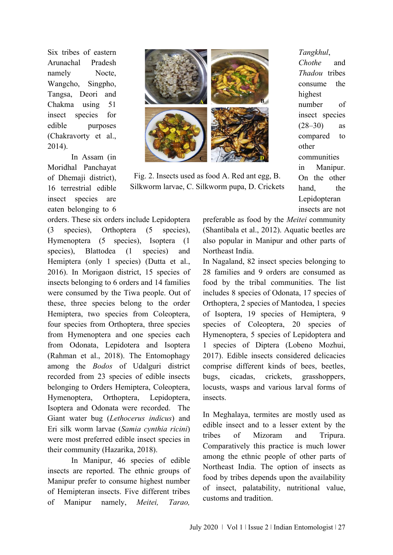Six tribes of eastern Arunachal Pradesh namely Nocte, Wangcho, Singpho, Tangsa, Deori and Chakma using 51 insect species for edible purposes (Chakravorty et al., 2014).

In Assam (in Moridhal Panchayat of Dhemaji district), 16 terrestrial edible insect species are eaten belonging to 6

orders. These six orders include Lepidoptera (3 species), Orthoptera (5 species), Hymenoptera (5 species), Isoptera (1 species), Blattodea (1 species) and Hemiptera (only 1 species) (Dutta et al., 2016). In Morigaon district, 15 species of insects belonging to 6 orders and 14 families were consumed by the Tiwa people. Out of these, three species belong to the order Hemiptera, two species from Coleoptera, four species from Orthoptera, three species from Hymenoptera and one species each from Odonata, Lepidotera and Isoptera (Rahman et al., 2018). The Entomophagy among the *Bodos* of Udalguri district recorded from 23 species of edible insects belonging to Orders Hemiptera, Coleoptera, Hymenoptera, Orthoptera, Lepidoptera, Isoptera and Odonata were recorded. The Giant water bug (*Lethocerus indicus*) and Eri silk worm larvae (*Samia cynthia ricini*) were most preferred edible insect species in their community (Hazarika, 2018).

In Manipur, 46 species of edible insects are reported. The ethnic groups of Manipur prefer to consume highest number of Hemipteran insects. Five different tribes of Manipur namely, *Meitei, Tarao,* 



Fig. 2. Insects used as food A. Red ant egg, B. Silkworm larvae, C. Silkworm pupa, D. Crickets

*Tangkhul*, *Chothe* and *Thadou* tribes consume the highest number of insect species  $(28-30)$  as compared to other communities in Manipur. On the other hand, the Lepidopteran insects are not

preferable as food by the *Meitei* community (Shantibala et al., 2012). Aquatic beetles are also popular in Manipur and other parts of Northeast India.

In Nagaland, 82 insect species belonging to 28 families and 9 orders are consumed as food by the tribal communities. The list includes 8 species of Odonata, 17 species of Orthoptera, 2 species of Mantodea, 1 species of Isoptera, 19 species of Hemiptera, 9 species of Coleoptera, 20 species of Hymenoptera, 5 species of Lepidoptera and 1 species of Diptera (Lobeno Mozhui, 2017). Edible insects considered delicacies comprise different kinds of bees, beetles, bugs, cicadas, crickets, grasshoppers, locusts, wasps and various larval forms of insects.

In Meghalaya, termites are mostly used as edible insect and to a lesser extent by the tribes of Mizoram and Tripura. Comparatively this practice is much lower among the ethnic people of other parts of Northeast India. The option of insects as food by tribes depends upon the availability of insect, palatability, nutritional value, customs and tradition.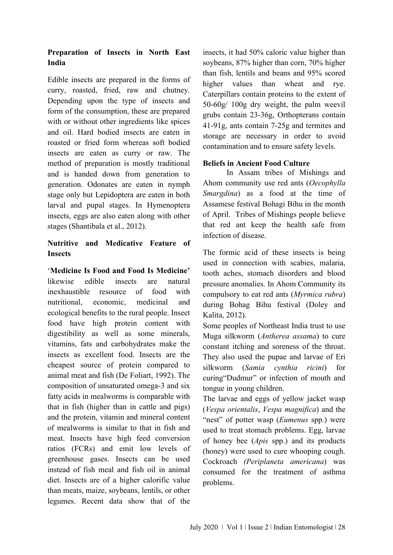# **Preparation of Insects in North East India**

Edible insects are prepared in the forms of curry, roasted, fried, raw and chutney. Depending upon the type of insects and form of the consumption, these are prepared with or without other ingredients like spices and oil. Hard bodied insects are eaten in roasted or fried form whereas soft bodied insects are eaten as curry or raw. The method of preparation is mostly traditional and is handed down from generation to generation. Odonates are eaten in nymph stage only but Lepidoptera are eaten in both larval and pupal stages. In Hymenoptera insects, eggs are also eaten along with other stages (Shantibala et al., 2012).

# **Nutritive and Medicative Feature of Insects**

'**Medicine Is Food and Food Is Medicine'** likewise edible insects are natural inexhaustible resource of food with nutritional, economic, medicinal and ecological benefits to the rural people. Insect food have high protein content with digestibility as well as some minerals, vitamins, fats and carbohydrates make the insects as excellent food. Insects are the cheapest source of protein compared to animal meat and fish (De Foliart, 1992). The composition of unsaturated omega-3 and six fatty acids in mealworms is comparable with that in fish (higher than in cattle and pigs) and the protein, vitamin and mineral content of mealworms is similar to that in fish and meat. Insects have high feed conversion ratios (FCRs) and emit low levels of greenhouse gases. Insects can be used instead of fish meal and fish oil in animal diet. Insects are of a higher calorific value than meats, maize, soybeans, lentils, or other legumes. Recent data show that of the

insects, it had 50% caloric value higher than soybeans, 87% higher than corn, 70% higher than fish, lentils and beans and 95% scored higher values than wheat and rye. Caterpillars contain proteins to the extent of 50-60g/ 100g dry weight, the palm weevil grubs contain 23-36g, Orthopterans contain 41-91g, ants contain 7-25g and termites and storage are necessary in order to avoid contamination and to ensure safety levels.

## **Beliefs in Ancient Food Culture**

In Assam tribes of Mishings and Ahom community use red ants (*Oecophylla Smargdina*) as a food at the time of Assamese festival Bohagi Bihu in the month of April. Tribes of Mishings people believe that red ant keep the health safe from infection of disease.

The formic acid of these insects is being used in connection with scabies, malaria, tooth aches, stomach disorders and blood pressure anomalies. In Ahom Community its compulsory to eat red ants (*Myrmica rubra*) during Bohag Bihu festival (Doley and Kalita, 2012).

Some peoples of Northeast India trust to use Muga silkworm (*Antherea assama*) to cure constant itching and soreness of the throat. They also used the pupae and larvae of Eri silkworm (*Samia cynthia ricini*) for curing"Dudmur" or infection of mouth and tongue in young children.

The larvae and eggs of yellow jacket wasp (*Vespa orientalis*, *Vespa magnifica*) and the "nest" of potter wasp (*Eumenus* spp.) were used to treat stomach problems. Egg, larvae of honey bee (*Apis* spp.) and its products (honey) were used to cure whooping cough. Cockroach *(Periplaneta americana*) was consumed for the treatment of asthma problems.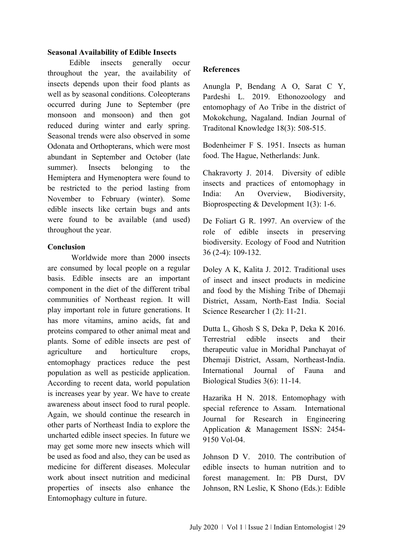## **Seasonal Availability of Edible Insects**

 Edible insects generally occur throughout the year, the availability of insects depends upon their food plants as well as by seasonal conditions. Coleopterans occurred during June to September (pre monsoon and monsoon) and then got reduced during winter and early spring. Seasonal trends were also observed in some Odonata and Orthopterans, which were most abundant in September and October (late summer). Insects belonging to the Hemiptera and Hymenoptera were found to be restricted to the period lasting from November to February (winter). Some edible insects like certain bugs and ants were found to be available (and used) throughout the year.

## **Conclusion**

Worldwide more than 2000 insects are consumed by local people on a regular basis. Edible insects are an important component in the diet of the different tribal communities of Northeast region. It will play important role in future generations. It has more vitamins, amino acids, fat and proteins compared to other animal meat and plants. Some of edible insects are pest of agriculture and horticulture crops, entomophagy practices reduce the pest population as well as pesticide application. According to recent data, world population is increases year by year. We have to create awareness about insect food to rural people. Again, we should continue the research in other parts of Northeast India to explore the uncharted edible insect species. In future we may get some more new insects which will be used as food and also, they can be used as medicine for different diseases. Molecular work about insect nutrition and medicinal properties of insects also enhance the Entomophagy culture in future.

#### **References**

Anungla P, Bendang A O, Sarat C Y, Pardeshi L. 2019. Ethonozoology and entomophagy of Ao Tribe in the district of Mokokchung, Nagaland. Indian Journal of Traditonal Knowledge 18(3): 508-515.

Bodenheimer F S. 1951. Insects as human food. The Hague, Netherlands: Junk.

Chakravorty J. 2014.Diversity of edible insects and practices of entomophagy in India: An Overview, Biodiversity, Bioprospecting & Development 1(3): 1-6.

De Foliart G R. 1997. An overview of the role of edible insects in preserving biodiversity. Ecology of Food and Nutrition 36 (2-4): 109-132.

Doley A K, Kalita J. 2012. Traditional uses of insect and insect products in medicine and food by the Mishing Tribe of Dhemaji District, Assam, North-East India. Social Science Researcher 1 (2): 11-21.

Dutta L, Ghosh S S, Deka P, Deka K 2016. Terrestrial edible insects and their therapeutic value in Moridhal Panchayat of Dhemaji District, Assam, Northeast-India. International Journal of Fauna and Biological Studies 3(6): 11-14.

Hazarika H N. 2018. Entomophagy with special reference to Assam. International Journal for Research in Engineering Application & Management ISSN: 2454- 9150 Vol-04.

Johnson D V. 2010. The contribution of edible insects to human nutrition and to forest management. In: PB Durst, DV Johnson, RN Leslie, K Shono (Eds.): Edible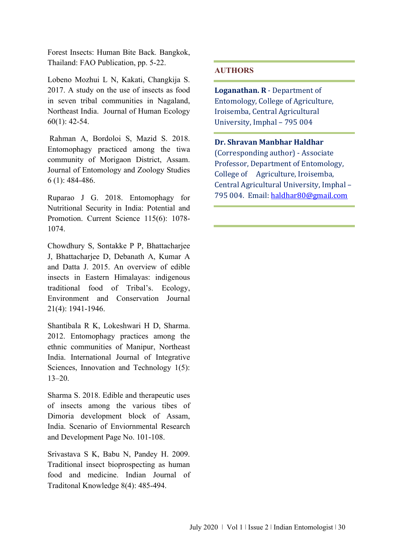Forest Insects: Human Bite Back*.* Bangkok, Thailand: FAO Publication, pp. 5-22.

Lobeno Mozhui L N, Kakati, Changkija S. 2017. A study on the use of insects as food in seven tribal communities in Nagaland, Northeast India. Journal of Human Ecology 60(1): 42-54.

Rahman A, Bordoloi S, Mazid S. 2018. Entomophagy practiced among the tiwa community of Morigaon District, Assam. Journal of Entomology and Zoology Studies 6 (1): 484-486.

Ruparao J G. 2018. Entomophagy for Nutritional Security in India: Potential and Promotion. Current Science 115(6): 1078- 1074.

Chowdhury S, Sontakke P P, Bhattacharjee J, Bhattacharjee D, Debanath A, Kumar A and Datta J. 2015. An overview of edible insects in Eastern Himalayas: indigenous traditional food of Tribal's. Ecology, Environment and Conservation Journal 21(4): 1941-1946.

Shantibala R K, Lokeshwari H D, Sharma. 2012. Entomophagy practices among the ethnic communities of Manipur, Northeast India. International Journal of Integrative Sciences, Innovation and Technology 1(5): 13–20.

Sharma S. 2018. Edible and therapeutic uses of insects among the various tibes of Dimoria development block of Assam, India. Scenario of Enviornmental Research and Development Page No. 101-108.

Srivastava S K, Babu N, Pandey H. 2009. Traditional insect bioprospecting as human food and medicine. Indian Journal of Traditonal Knowledge 8(4): 485-494.

## **AUTHORS**

**Loganathan. R** - Department of Entomology, College of Agriculture, Iroisemba, Central Agricultural University, Imphal – 795 004

**Dr. Shravan Manbhar Haldhar** (Corresponding author) - Associate Professor, Department of Entomology, College of Agriculture, Iroisemba, Central Agricultural University, Imphal – 795 004. Email[: haldhar80@gmail.com](mailto:haldhar80@gmail.com)